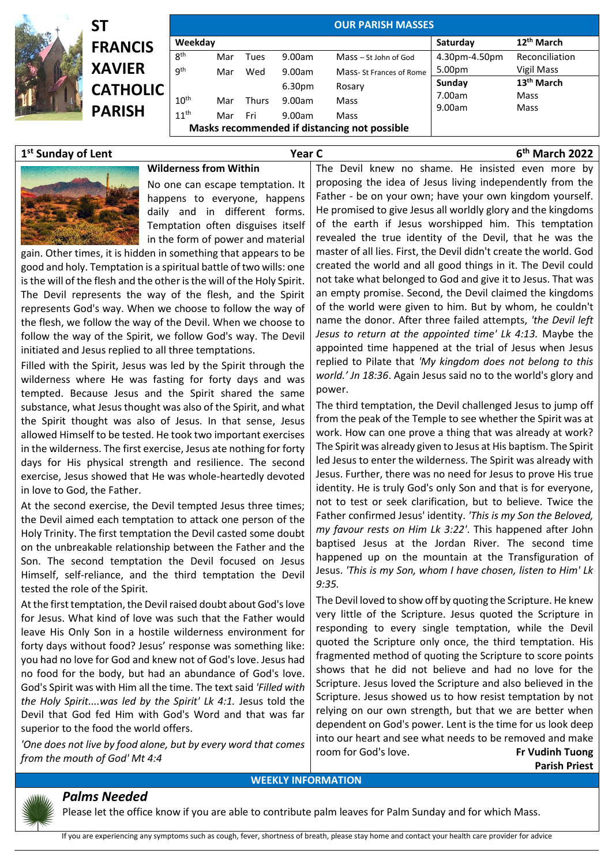|            | <b>ST</b>       | <b>OUR PARISH MASSES</b> |     |              |                                              |                         |               |                        |  |  |  |
|------------|-----------------|--------------------------|-----|--------------|----------------------------------------------|-------------------------|---------------|------------------------|--|--|--|
| <b>RAN</b> | <b>FRANCIS</b>  | Weekday                  |     |              | Saturday                                     | 12 <sup>th</sup> March  |               |                        |  |  |  |
|            |                 | 8 <sup>th</sup>          | Mar | Tues         | 9.00am                                       | Mass – St John of God   | 4.30pm-4.50pm | Reconciliation         |  |  |  |
|            | <b>XAVIER</b>   | gth                      | Mar | Wed          | 9.00am                                       | Mass-St Frances of Rome | 5.00pm        | Vigil Mass             |  |  |  |
|            | <b>CATHOLIC</b> |                          |     |              | 6.30 <sub>pm</sub>                           | Rosary                  | Sunday        | 13 <sup>th</sup> March |  |  |  |
|            |                 | $10^{\text{th}}$         | Mar | <b>Thurs</b> | 9.00am                                       | Mass                    | 7.00am        | Mass                   |  |  |  |
|            | <b>PARISH</b>   | $11^{\text{th}}$         | Mar | Fri          | 9.00am                                       | Mass                    | 9.00am        | Mass                   |  |  |  |
|            |                 |                          |     |              | Masks recommended if distancing not possible |                         |               |                        |  |  |  |

## **1 st Sunday of Lent Year C 6**



**th March 2022**

**Wilderness from Within** No one can escape temptation. It happens to everyone, happens daily and in different forms. Temptation often disguises itself in the form of power and material

gain. Other times, it is hidden in something that appears to be good and holy. Temptation is a spiritual battle of two wills: one is the will of the flesh and the other is the will of the Holy Spirit. The Devil represents the way of the flesh, and the Spirit represents God's way. When we choose to follow the way of the flesh, we follow the way of the Devil. When we choose to follow the way of the Spirit, we follow God's way. The Devil initiated and Jesus replied to all three temptations.

Filled with the Spirit, Jesus was led by the Spirit through the wilderness where He was fasting for forty days and was tempted. Because Jesus and the Spirit shared the same substance, what Jesus thought was also of the Spirit, and what the Spirit thought was also of Jesus. In that sense, Jesus allowed Himself to be tested. He took two important exercises in the wilderness. The first exercise, Jesus ate nothing for forty days for His physical strength and resilience. The second exercise, Jesus showed that He was whole-heartedly devoted in love to God, the Father.

At the second exercise, the Devil tempted Jesus three times; the Devil aimed each temptation to attack one person of the Holy Trinity. The first temptation the Devil casted some doubt on the unbreakable relationship between the Father and the Son. The second temptation the Devil focused on Jesus Himself, self-reliance, and the third temptation the Devil tested the role of the Spirit.

At the first temptation, the Devil raised doubt about God's love for Jesus. What kind of love was such that the Father would leave His Only Son in a hostile wilderness environment for forty days without food? Jesus' response was something like: you had no love for God and knew not of God's love. Jesus had no food for the body, but had an abundance of God's love. God's Spirit was with Him all the time. The text said *'Filled with the Holy Spirit....was led by the Spirit' Lk 4:1.* Jesus told the Devil that God fed Him with God's Word and that was far superior to the food the world offers.

*'One does not live by food alone, but by every word that comes from the mouth of God' Mt 4:4*

*Palms Needed* 

The Devil knew no shame. He insisted even more by proposing the idea of Jesus living independently from the Father - be on your own; have your own kingdom yourself. He promised to give Jesus all worldly glory and the kingdoms of the earth if Jesus worshipped him. This temptation revealed the true identity of the Devil, that he was the master of all lies. First, the Devil didn't create the world. God created the world and all good things in it. The Devil could not take what belonged to God and give it to Jesus. That was an empty promise. Second, the Devil claimed the kingdoms of the world were given to him. But by whom, he couldn't name the donor. After three failed attempts, *'the Devil left Jesus to return at the appointed time' Lk 4:13.* Maybe the appointed time happened at the trial of Jesus when Jesus replied to Pilate that *'My kingdom does not belong to this world.' Jn 18:36*. Again Jesus said no to the world's glory and power.

The third temptation, the Devil challenged Jesus to jump off from the peak of the Temple to see whether the Spirit was at work. How can one prove a thing that was already at work? The Spirit was already given to Jesus at His baptism. The Spirit led Jesus to enter the wilderness. The Spirit was already with Jesus. Further, there was no need for Jesus to prove His true identity. He is truly God's only Son and that is for everyone, not to test or seek clarification, but to believe. Twice the Father confirmed Jesus' identity. *'This is my Son the Beloved, my favour rests on Him Lk 3:22'*. This happened after John baptised Jesus at the Jordan River. The second time happened up on the mountain at the Transfiguration of Jesus. *'This is my Son, whom I have chosen, listen to Him' Lk 9:35.*

The Devil loved to show off by quoting the Scripture. He knew very little of the Scripture. Jesus quoted the Scripture in responding to every single temptation, while the Devil quoted the Scripture only once, the third temptation. His fragmented method of quoting the Scripture to score points shows that he did not believe and had no love for the Scripture. Jesus loved the Scripture and also believed in the Scripture. Jesus showed us to how resist temptation by not relying on our own strength, but that we are better when dependent on God's power. Lent is the time for us look deep into our heart and see what needs to be removed and make room for God's love. **Fr Vudinh Tuong Parish Priest**

## **WEEKLY INFORMATION**



Please let the office know if you are able to contribute palm leaves for Palm Sunday and for which Mass.

If you are experiencing any symptoms such as cough, fever, shortness of breath, please stay home and contact your health care provider for advice